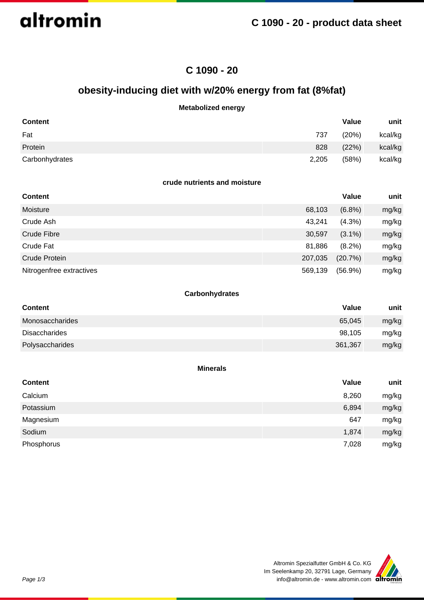altromin

## **C 1090 - 20**

## **obesity-inducing diet with w/20% energy from fat (8%fat)**

## **Metabolized energy**

| <b>Content</b> |       | Value | unit    |
|----------------|-------|-------|---------|
| Fat            | 737   | (20%) | kcal/kg |
| Protein        | 828   | (22%) | kcal/kg |
| Carbonhydrates | 2,205 | (58%) | kcal/kg |

### **crude nutrients and moisture**

| <b>Content</b>           |         | Value      | unit  |
|--------------------------|---------|------------|-------|
| Moisture                 | 68,103  | (6.8%)     | mg/kg |
| Crude Ash                | 43,241  | $(4.3\%)$  | mg/kg |
| Crude Fibre              | 30,597  | $(3.1\%)$  | mg/kg |
| Crude Fat                | 81,886  | $(8.2\%)$  | mg/kg |
| Crude Protein            | 207,035 | (20.7%)    | mg/kg |
| Nitrogenfree extractives | 569,139 | $(56.9\%)$ | mg/kg |

### **Carbonhydrates**

| <b>Content</b>       | <b>Value</b> | unit  |
|----------------------|--------------|-------|
| Monosaccharides      | 65,045       | mg/kg |
| <b>Disaccharides</b> | 98,105       | mg/kg |
| Polysaccharides      | 361,367      | mg/kg |

#### **Minerals**

| <b>Content</b> | Value | unit  |
|----------------|-------|-------|
| Calcium        | 8,260 | mg/kg |
| Potassium      | 6,894 | mg/kg |
| Magnesium      | 647   | mg/kg |
| Sodium         | 1,874 | mg/kg |
| Phosphorus     | 7,028 | mg/kg |

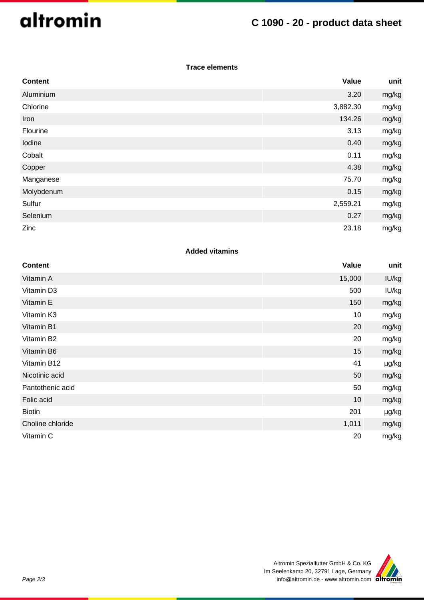# altromin

## **C 1090 - 20 - product data sheet**

## **Trace elements**

| <b>Content</b> | Value    | unit  |
|----------------|----------|-------|
| Aluminium      | 3.20     | mg/kg |
| Chlorine       | 3,882.30 | mg/kg |
| Iron           | 134.26   | mg/kg |
| Flourine       | 3.13     | mg/kg |
| Iodine         | 0.40     | mg/kg |
| Cobalt         | 0.11     | mg/kg |
| Copper         | 4.38     | mg/kg |
| Manganese      | 75.70    | mg/kg |
| Molybdenum     | 0.15     | mg/kg |
| Sulfur         | 2,559.21 | mg/kg |
| Selenium       | 0.27     | mg/kg |
| Zinc           | 23.18    | mg/kg |

## **Added vitamins**

| <b>Content</b>   | Value  | unit  |
|------------------|--------|-------|
| Vitamin A        | 15,000 | IU/kg |
| Vitamin D3       | 500    | IU/kg |
| Vitamin E        | 150    | mg/kg |
| Vitamin K3       | 10     | mg/kg |
| Vitamin B1       | 20     | mg/kg |
| Vitamin B2       | 20     | mg/kg |
| Vitamin B6       | 15     | mg/kg |
| Vitamin B12      | 41     | µg/kg |
| Nicotinic acid   | 50     | mg/kg |
| Pantothenic acid | 50     | mg/kg |
| Folic acid       | 10     | mg/kg |
| <b>Biotin</b>    | 201    | µg/kg |
| Choline chloride | 1,011  | mg/kg |
| Vitamin C        | 20     | mg/kg |